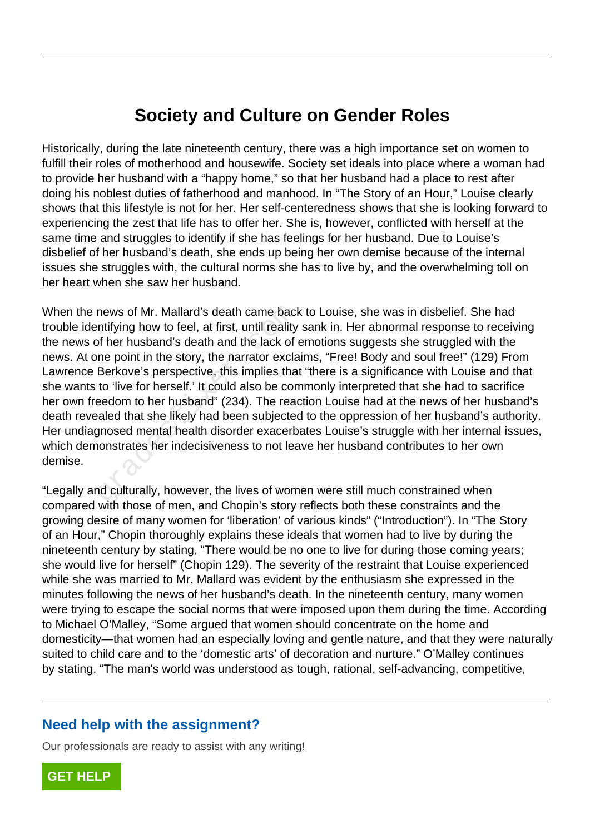## **Society and Culture on Gender Roles**

Historically, during the late nineteenth century, there was a high importance set on women to fulfill their roles of motherhood and housewife. Society set ideals into place where a woman had to provide her husband with a "happy home," so that her husband had a place to rest after doing his noblest duties of fatherhood and manhood. In "The Story of an Hour," Louise clearly shows that this lifestyle is not for her. Her self-centeredness shows that she is looking forward to experiencing the zest that life has to offer her. She is, however, conflicted with herself at the same time and struggles to identify if she has feelings for her husband. Due to Louise's disbelief of her husband's death, she ends up being her own demise because of the internal issues she struggles with, the cultural norms she has to live by, and the overwhelming toll on her heart when she saw her husband.

When the news of Mr. Mallard's death came back to Louise, she was in disbelief. She had trouble identifying how to feel, at first, until reality sank in. Her abnormal response to receiving the news of her husband's death and the lack of emotions suggests she struggled with the news. At one point in the story, the narrator exclaims, "Free! Body and soul free!" (129) From Lawrence Berkove's perspective, this implies that "there is a significance with Louise and that she wants to 'live for herself.' It could also be commonly interpreted that she had to sacrifice her own freedom to her husband" (234). The reaction Louise had at the news of her husband's death revealed that she likely had been subjected to the oppression of her husband's authority. Her undiagnosed mental health disorder exacerbates Louise's struggle with her internal issues, which demonstrates her indecisiveness to not leave her husband contributes to her own demise. news of Mr. Mallard's death came back-<br>
Intifying how to feel, at first, until reality<br>
of her husband's death and the lack of<br>
ore point in the story, the narrator excla<br>
Berkove's perspective, this implies tha<br>
to 'live

"Legally and culturally, however, the lives of women were still much constrained when compared with those of men, and Chopin's story reflects both these constraints and the growing desire of many women for 'liberation' of various kinds" ("Introduction"). In "The Story of an Hour," Chopin thoroughly explains these ideals that women had to live by during the nineteenth century by stating, "There would be no one to live for during those coming years; she would live for herself" (Chopin 129). The severity of the restraint that Louise experienced while she was married to Mr. Mallard was evident by the enthusiasm she expressed in the minutes following the news of her husband's death. In the nineteenth century, many women were trying to escape the social norms that were imposed upon them during the time. According to Michael O'Malley, "Some argued that women should concentrate on the home and domesticity—that women had an especially loving and gentle nature, and that they were naturally suited to child care and to the 'domestic arts' of decoration and nurture." O'Malley continues by stating, "The man's world was understood as tough, rational, self-advancing, competitive,

## **Need help with the assignment?**

Our professionals are ready to assist with any writing!

**[GET HELP](https://my.gradesfixer.com/order?utm_campaign=pdf_sample)**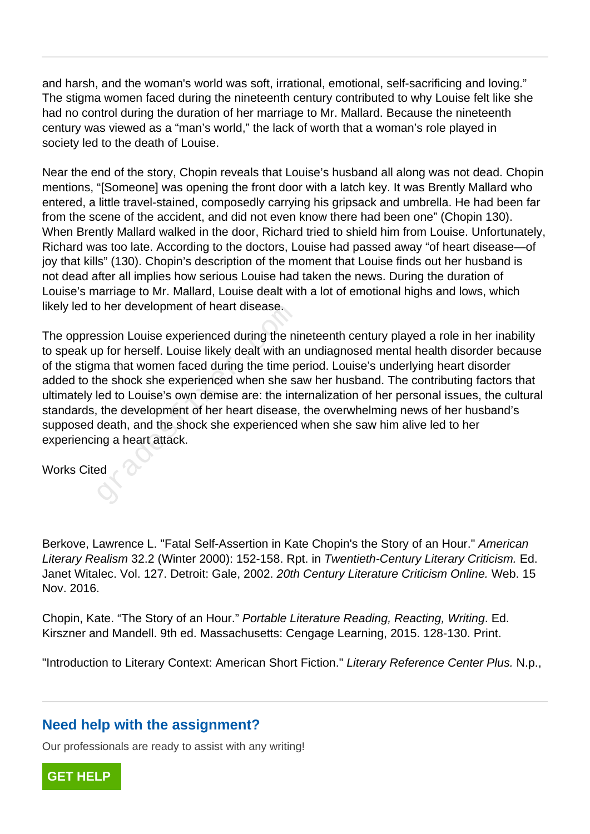and harsh, and the woman's world was soft, irrational, emotional, self-sacrificing and loving." The stigma women faced during the nineteenth century contributed to why Louise felt like she had no control during the duration of her marriage to Mr. Mallard. Because the nineteenth century was viewed as a "man's world," the lack of worth that a woman's role played in society led to the death of Louise.

Near the end of the story, Chopin reveals that Louise's husband all along was not dead. Chopin mentions, "[Someone] was opening the front door with a latch key. It was Brently Mallard who entered, a little travel-stained, composedly carrying his gripsack and umbrella. He had been far from the scene of the accident, and did not even know there had been one" (Chopin 130). When Brently Mallard walked in the door, Richard tried to shield him from Louise. Unfortunately, Richard was too late. According to the doctors, Louise had passed away "of heart disease—of joy that kills" (130). Chopin's description of the moment that Louise finds out her husband is not dead after all implies how serious Louise had taken the news. During the duration of Louise's marriage to Mr. Mallard, Louise dealt with a lot of emotional highs and lows, which likely led to her development of heart disease.

The oppression Louise experienced during the nineteenth century played a role in her inability to speak up for herself. Louise likely dealt with an undiagnosed mental health disorder because of the stigma that women faced during the time period. Louise's underlying heart disorder added to the shock she experienced when she saw her husband. The contributing factors that ultimately led to Louise's own demise are: the internalization of her personal issues, the cultural standards, the development of her heart disease, the overwhelming news of her husband's supposed death, and the shock she experienced when she saw him alive led to her experiencing a heart attack. b Ther development of heart disease.<br>
ssion Louise experienced during the ni<br>
p for herself. Louise likely dealt with ar<br>
ma that women faced during the time p<br>
he shock she experienced when she said to Louise's own demise

Works Cited

Berkove, Lawrence L. "Fatal Self-Assertion in Kate Chopin's the Story of an Hour." American Literary Realism 32.2 (Winter 2000): 152-158. Rpt. in Twentieth-Century Literary Criticism. Ed. Janet Witalec. Vol. 127. Detroit: Gale, 2002. 20th Century Literature Criticism Online. Web. 15 Nov. 2016.

Chopin, Kate. "The Story of an Hour." Portable Literature Reading, Reacting, Writing. Ed. Kirszner and Mandell. 9th ed. Massachusetts: Cengage Learning, 2015. 128-130. Print.

"Introduction to Literary Context: American Short Fiction." Literary Reference Center Plus. N.p.,

## **Need help with the assignment?**

Our professionals are ready to assist with any writing!